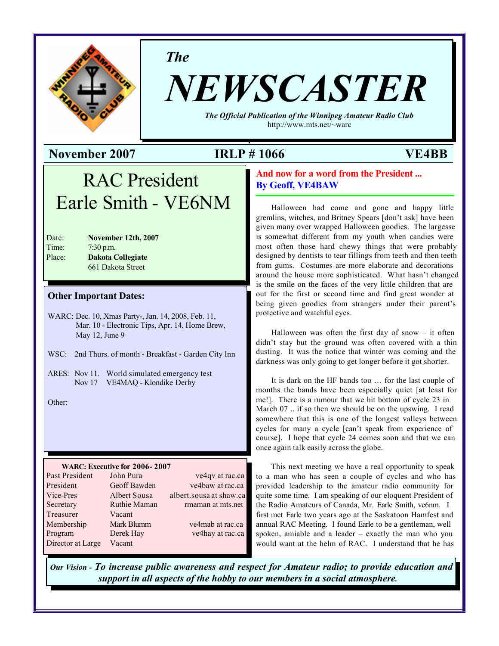

*The*

# *NEWSCASTER*

*The Official Publication of the Winnipeg Amateur Radio Club* http://www.mts.net/~warc

#### **November 2007 IRLP # 1066 VE4BB**

## RAC President Earle Smith - VE6NM

| Date:  | November 12th, 2007      |
|--------|--------------------------|
| Time:  | $7:30$ p.m.              |
| Place: | <b>Dakota Collegiate</b> |
|        | 661 Dakota Street        |
|        |                          |

#### **Other Important Dates:**

WARC: Dec. 10, Xmas Party-, Jan. 14, 2008, Feb. 11, Mar. 10 - Electronic Tips, Apr. 14, Home Brew, May 12, June 9

- WSC: 2nd Thurs. of month Breakfast Garden City Inn
- ARES: Nov 11. World simulated emergency test Nov 17 VE4MAQ - Klondike Derby

Other:

#### **WARC: Executive for 2006- 2007**

| Past President    | John Pura    | ve4qv at rac.ca         |
|-------------------|--------------|-------------------------|
| President         | Geoff Bawden | ve4baw at rac.ca        |
| Vice-Pres         | Albert Sousa | albert.sousa at shaw.ca |
| Secretary         | Ruthie Maman | rmaman at mts.net       |
| Treasurer         | Vacant       |                         |
| Membership        | Mark Blumm   | ve4mab at rac.ca        |
| Program           | Derek Hay    | ve4hay at rac.ca        |
| Director at Large | Vacant       |                         |
|                   |              |                         |

#### **And now for a word from the President ... By Geoff, VE4BAW**

Halloween had come and gone and happy little gremlins, witches, and Britney Spears [don't ask] have been given many over wrapped Halloween goodies. The largesse is somewhat different from my youth when candies were most often those hard chewy things that were probably designed by dentists to tear fillings from teeth and then teeth from gums. Costumes are more elaborate and decorations around the house more sophisticated. What hasn't changed is the smile on the faces of the very little children that are out for the first or second time and find great wonder at being given goodies from strangers under their parent's protective and watchful eyes.

Halloween was often the first day of snow  $-$  it often didn't stay but the ground was often covered with a thin dusting. It was the notice that winter was coming and the darkness was only going to get longer before it got shorter.

It is dark on the HF bands too … for the last couple of months the bands have been especially quiet [at least for me!]. There is a rumour that we hit bottom of cycle 23 in March 07 .. if so then we should be on the upswing. I read somewhere that this is one of the longest valleys between cycles for many a cycle [can't speak from experience of course]. I hope that cycle 24 comes soon and that we can once again talk easily across the globe.

This next meeting we have a real opportunity to speak to a man who has seen a couple of cycles and who has provided leadership to the amateur radio community for quite some time. I am speaking of our eloquent President of the Radio Amateurs of Canada, Mr. Earle Smith, ve6nm. I first met Earle two years ago at the Saskatoon Hamfest and annual RAC Meeting. I found Earle to be a gentleman, well spoken, amiable and a leader – exactly the man who you would want at the helm of RAC. I understand that he has

*Our Vision - To increase public awareness and respect for Amateur radio; to provide education and support in all aspects of the hobby to our members in a social atmosphere.*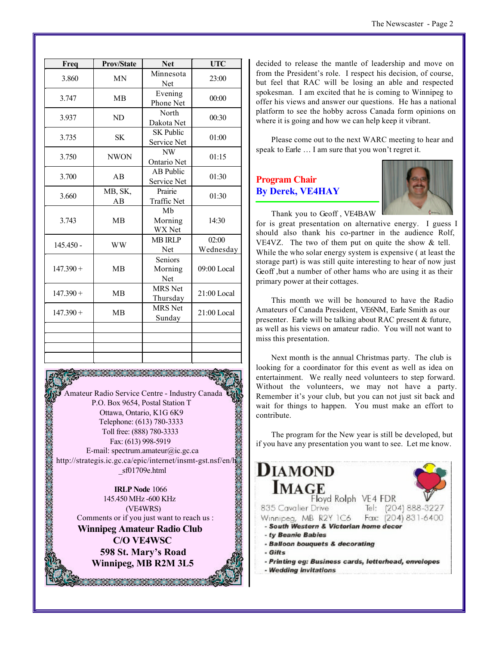| Freq        | <b>Prov/State</b> | <b>Net</b>                      | <b>UTC</b>         |
|-------------|-------------------|---------------------------------|--------------------|
| 3.860       | <b>MN</b>         | Minnesota<br>Net                | 23:00              |
| 3.747       | <b>MB</b>         | Evening<br>Phone Net            | 00:00              |
| 3.937       | ND                | North<br>Dakota Net             | 00:30              |
| 3.735       | <b>SK</b>         | <b>SK Public</b><br>Service Net | 01:00              |
| 3.750       | <b>NWON</b>       | NW<br>Ontario Net               | 01:15              |
| 3.700       | AB                | <b>AB</b> Public<br>Service Net | 01:30              |
| 3.660       | MB, SK,<br>AВ     | Prairie<br>Traffic Net          | 01:30              |
| 3.743       | <b>MB</b>         | Mb<br>Morning<br>WX Net         | 14:30              |
| $145.450 -$ | <b>WW</b>         | <b>MB IRLP</b><br>Net           | 02:00<br>Wednesday |
| $147.390 +$ | <b>MB</b>         | Seniors<br>Morning<br>Net       | 09:00 Local        |
| $147.390 +$ | <b>MB</b>         | <b>MRS</b> Net<br>Thursday      | $21:00$ Local      |
| $147.390 +$ | <b>MB</b>         | <b>MRS</b> Net<br>Sunday        | $21:00$ Local      |
|             |                   |                                 |                    |
|             |                   |                                 |                    |
|             |                   |                                 |                    |

Amateur Radio Service Centre - Industry Canada P.O. Box 9654, Postal Station T Ottawa, Ontario, K1G 6K9 Telephone: (613) 780-3333 **ARANG ARANG ARANG ARANG ARANG ARANG ARANG ARANG ARANG ARANG ARANG ARANG ARANG ARANG ARANG ARANG ARANG ARANG A** Toll free: (888) 780-3333 Fax: (613) 998-5919 E-mail: spectrum.amateur@ic.gc.ca http://strategis.ic.gc.ca/epic/internet/insmt-gst.nsf/en/h \_sf01709e.html

**IRLP Node** 1066 145.450 MHz -600 KHz (VE4WRS) Comments or if you just want to reach us : **Winnipeg Amateur Radio Club C/O VE4WSC 598 St. Mary's Road Winnipeg, MB R2M 3L5**

<u> DE DE DE DE DE</u>

decided to release the mantle of leadership and move on from the President's role. I respect his decision, of course, but feel that RAC will be losing an able and respected spokesman. I am excited that he is coming to Winnipeg to offer his views and answer our questions. He has a national platform to see the hobby across Canada form opinions on where it is going and how we can help keep it vibrant.

Please come out to the next WARC meeting to hear and speak to Earle … I am sure that you won't regret it.

#### **Program Chair By Derek, VE4HAY**



Thank you to Geoff , VE4BAW for is great presentation on alternative energy. I guess I should also thank his co-partner in the audience Rolf, VE4VZ. The two of them put on quite the show & tell. While the who solar energy system is expensive ( at least the storage part) is was still quite interesting to hear of now just Geoff ,but a number of other hams who are using it as their primary power at their cottages.

This month we will be honoured to have the Radio Amateurs of Canada President, VE6NM, Earle Smith as our presenter. Earle will be talking about RAC present & future, as well as his views on amateur radio. You will not want to miss this presentation.

Next month is the annual Christmas party. The club is looking for a coordinator for this event as well as idea on entertainment. We really need volunteers to step forward. Without the volunteers, we may not have a party. Remember it's your club, but you can not just sit back and wait for things to happen. You must make an effort to contribute.

The program for the New year is still be developed, but if you have any presentation you want to see. Let me know.

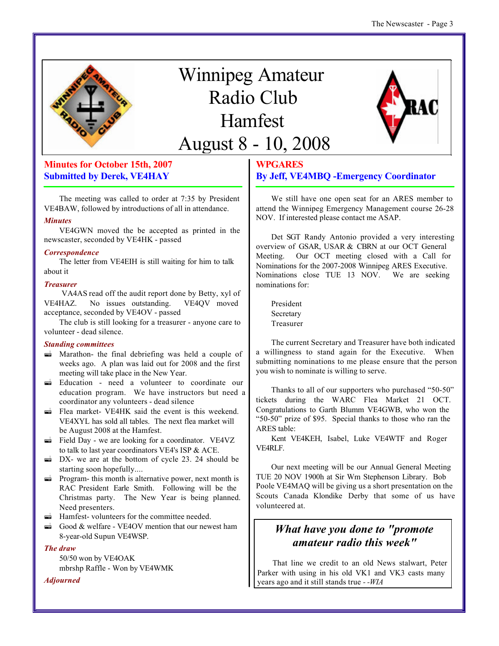

# Winnipeg Amateur Radio Club Hamfest August 8 - 10, 2008



#### **Minutes for October 15th, 2007 Submitted by Derek, VE4HAY**

The meeting was called to order at 7:35 by President VE4BAW, followed by introductions of all in attendance.

#### *Minutes*

VE4GWN moved the be accepted as printed in the newscaster, seconded by VE4HK - passed

#### *Correspondence*

The letter from VE4EIH is still waiting for him to talk about it

#### *Treasurer*

VA4AS read off the audit report done by Betty, xyl of VE4HAZ. No issues outstanding. VE4QV moved acceptance, seconded by VE4OV - passed

The club is still looking for a treasurer - anyone care to volunteer - dead silence.

#### *Standing committees*

- $\vec{a}$  Marathon- the final debriefing was held a couple of weeks ago. A plan was laid out for 2008 and the first meeting will take place in the New Year.
- $\vec{a}$  Education need a volunteer to coordinate our education program. We have instructors but need a coordinator any volunteers - dead silence
- $\vec{a}$  Flea market- VE4HK said the event is this weekend. VE4XYL has sold all tables. The next flea market will be August 2008 at the Hamfest.
- $\vec{a}$  Field Day we are looking for a coordinator. VE4VZ to talk to last year coordinators VE4's ISP & ACE.
- $\rightarrow$  DX- we are at the bottom of cycle 23. 24 should be starting soon hopefully....
- $\vec{r}$  Program- this month is alternative power, next month is RAC President Earle Smith. Following will be the Christmas party. The New Year is being planned. Need presenters.
- $\blacksquare$  Hamfest-volunteers for the committee needed.
- $\vec{a}$  Good & welfare VE4OV mention that our newest ham 8-year-old Supun VE4WSP.

#### *The draw*

50/50 won by VE4OAK mbrshp Raffle - Won by VE4WMK

*Adjourned*

#### **WPGARES By Jeff, VE4MBQ -Emergency Coordinator**

We still have one open seat for an ARES member to attend the Winnipeg Emergency Management course 26-28 NOV. If interested please contact me ASAP.

Det SGT Randy Antonio provided a very interesting overview of GSAR, USAR & CBRN at our OCT General Meeting. Our OCT meeting closed with a Call for Nominations for the 2007-2008 Winnipeg ARES Executive. Nominations close TUE 13 NOV. We are seeking nominations for:

President Secretary Treasurer

The current Secretary and Treasurer have both indicated a willingness to stand again for the Executive. When submitting nominations to me please ensure that the person you wish to nominate is willing to serve.

Thanks to all of our supporters who purchased "50-50" tickets during the WARC Flea Market 21 OCT. Congratulations to Garth Blumm VE4GWB, who won the "50-50" prize of \$95. Special thanks to those who ran the ARES table:

Kent VE4KEH, Isabel, Luke VE4WTF and Roger VE4RLF.

Our next meeting will be our Annual General Meeting TUE 20 NOV 1900h at Sir Wm Stephenson Library. Bob Poole VE4MAQ will be giving us a short presentation on the Scouts Canada Klondike Derby that some of us have volunteered at.

### *What have you done to "promote amateur radio this week"*

That line we credit to an old News stalwart, Peter Parker with using in his old VK1 and VK3 casts many years ago and it still stands true *- -WIA*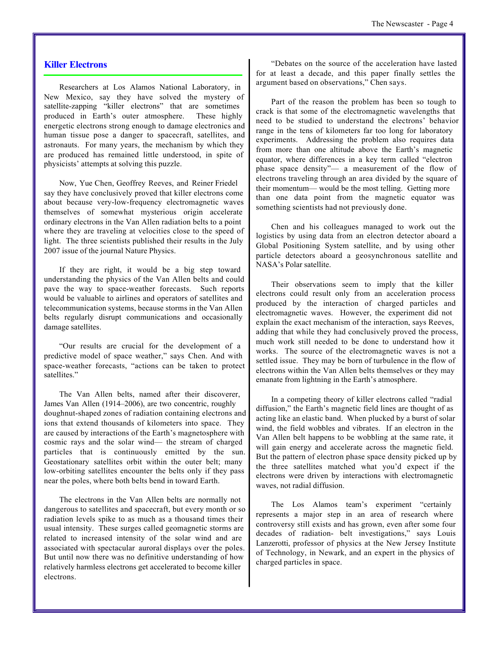#### **Killer Electrons**

Researchers at Los Alamos National Laboratory, in New Mexico, say they have solved the mystery of satellite-zapping "killer electrons" that are sometimes produced in Earth's outer atmosphere. These highly energetic electrons strong enough to damage electronics and human tissue pose a danger to spacecraft, satellites, and astronauts. For many years, the mechanism by which they are produced has remained little understood, in spite of physicists' attempts at solving this puzzle.

Now, Yue Chen, Geoffrey Reeves, and Reiner Friedel say they have conclusively proved that killer electrons come about because very-low-frequency electromagnetic waves themselves of somewhat mysterious origin accelerate ordinary electrons in the Van Allen radiation belts to a point where they are traveling at velocities close to the speed of light. The three scientists published their results in the July 2007 issue of the journal Nature Physics.

If they are right, it would be a big step toward understanding the physics of the Van Allen belts and could pave the way to space-weather forecasts. Such reports would be valuable to airlines and operators of satellites and telecommunication systems, because storms in the Van Allen belts regularly disrupt communications and occasionally damage satellites.

"Our results are crucial for the development of a predictive model of space weather," says Chen. And with space-weather forecasts, "actions can be taken to protect satellites."

The Van Allen belts, named after their discoverer, James Van Allen (1914–2006), are two concentric, roughly doughnut-shaped zones of radiation containing electrons and ions that extend thousands of kilometers into space. They are caused by interactions of the Earth's magnetosphere with cosmic rays and the solar wind— the stream of charged particles that is continuously emitted by the sun. Geostationary satellites orbit within the outer belt; many low-orbiting satellites encounter the belts only if they pass near the poles, where both belts bend in toward Earth.

The electrons in the Van Allen belts are normally not dangerous to satellites and spacecraft, but every month or so radiation levels spike to as much as a thousand times their usual intensity. These surges called geomagnetic storms are related to increased intensity of the solar wind and are associated with spectacular auroral displays over the poles. But until now there was no definitive understanding of how relatively harmless electrons get accelerated to become killer electrons.

"Debates on the source of the acceleration have lasted for at least a decade, and this paper finally settles the argument based on observations," Chen says.

Part of the reason the problem has been so tough to crack is that some of the electromagnetic wavelengths that need to be studied to understand the electrons' behavior range in the tens of kilometers far too long for laboratory experiments. Addressing the problem also requires data from more than one altitude above the Earth's magnetic equator, where differences in a key term called "electron phase space density"— a measurement of the flow of electrons traveling through an area divided by the square of their momentum— would be the most telling. Getting more than one data point from the magnetic equator was something scientists had not previously done.

Chen and his colleagues managed to work out the logistics by using data from an electron detector aboard a Global Positioning System satellite, and by using other particle detectors aboard a geosynchronous satellite and NASA's Polar satellite.

Their observations seem to imply that the killer electrons could result only from an acceleration process produced by the interaction of charged particles and electromagnetic waves. However, the experiment did not explain the exact mechanism of the interaction, says Reeves, adding that while they had conclusively proved the process, much work still needed to be done to understand how it works. The source of the electromagnetic waves is not a settled issue. They may be born of turbulence in the flow of electrons within the Van Allen belts themselves or they may emanate from lightning in the Earth's atmosphere.

In a competing theory of killer electrons called "radial diffusion," the Earth's magnetic field lines are thought of as acting like an elastic band. When plucked by a burst of solar wind, the field wobbles and vibrates. If an electron in the Van Allen belt happens to be wobbling at the same rate, it will gain energy and accelerate across the magnetic field. But the pattern of electron phase space density picked up by the three satellites matched what you'd expect if the electrons were driven by interactions with electromagnetic waves, not radial diffusion.

The Los Alamos team's experiment "certainly represents a major step in an area of research where controversy still exists and has grown, even after some four decades of radiation- belt investigations," says Louis Lanzerotti, professor of physics at the New Jersey Institute of Technology, in Newark, and an expert in the physics of charged particles in space.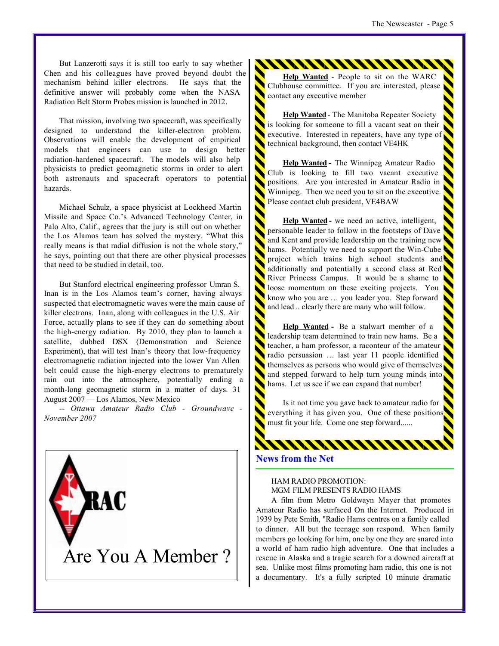But Lanzerotti says it is still too early to say whether Chen and his colleagues have proved beyond doubt the mechanism behind killer electrons. He says that the definitive answer will probably come when the NASA Radiation Belt Storm Probes mission is launched in 2012.

That mission, involving two spacecraft, was specifically designed to understand the killer-electron problem. Observations will enable the development of empirical models that engineers can use to design better radiation-hardened spacecraft. The models will also help physicists to predict geomagnetic storms in order to alert both astronauts and spacecraft operators to potential hazards.

Michael Schulz, a space physicist at Lockheed Martin Missile and Space Co.'s Advanced Technology Center, in Palo Alto, Calif., agrees that the jury is still out on whether the Los Alamos team has solved the mystery. "What this really means is that radial diffusion is not the whole story," he says, pointing out that there are other physical processes that need to be studied in detail, too.

But Stanford electrical engineering professor Umran S. Inan is in the Los Alamos team's corner, having always suspected that electromagnetic waves were the main cause of killer electrons. Inan, along with colleagues in the U.S. Air Force, actually plans to see if they can do something about the high-energy radiation. By 2010, they plan to launch a satellite, dubbed DSX (Demonstration and Science Experiment), that will test Inan's theory that low-frequency electromagnetic radiation injected into the lower Van Allen belt could cause the high-energy electrons to prematurely rain out into the atmosphere, potentially ending a month-long geomagnetic storm in a matter of days. 31 August 2007 — Los Alamos, New Mexico

*-- Ottawa Amateur Radio Club - Groundwave - November 2007*

Are You A Member ?

RAC

**Help Wanted** - People to sit on the WARC Clubhouse committee. If you are interested, please contact any executive member

\*\*\*\*\*\*\*\*\*\*\*\*\*\*\*\*\*\*\*\*\*\*\*\*\*\*\*\*\*\*

**Help Wanted**- The Manitoba Repeater Society is looking for someone to fill a vacant seat on their executive. Interested in repeaters, have any type of technical background, then contact VE4HK

**Help Wanted -** The Winnipeg Amateur Radio Club is looking to fill two vacant executive positions. Are you interested in Amateur Radio in Winnipeg. Then we need you to sit on the executive. Please contact club president, VE4BAW

**Help Wanted -** we need an active, intelligent, personable leader to follow in the footsteps of Dave and Kent and provide leadership on the training new hams. Potentially we need to support the Win-Cube project which trains high school students and additionally and potentially a second class at Red River Princess Campus. It would be a shame to loose momentum on these exciting projects. You know who you are … you leader you. Step forward and lead .. clearly there are many who will follow.

**Help Wanted -** Be a stalwart member of a leadership team determined to train new hams. Be a teacher, a ham professor, a raconteur of the amateur radio persuasion … last year 11 people identified themselves as persons who would give of themselves and stepped forward to help turn young minds into hams. Let us see if we can expand that number!

Is it not time you gave back to amateur radio for everything it has given you. One of these positions must fit your life. Come one step forward......

#### **News from the Net**

#### HAM RADIO PROMOTION: MGM FILM PRESENTS RADIO HAMS

WWWWWWW

A film from Metro Goldwayn Mayer that promotes Amateur Radio has surfaced On the Internet. Produced in 1939 by Pete Smith, "Radio Hams centres on a family called to dinner. All but the teenage son respond. When family members go looking for him, one by one they are snared into a world of ham radio high adventure. One that includes a rescue in Alaska and a tragic search for a downed aircraft at sea. Unlike most films promoting ham radio, this one is not a documentary. It's a fully scripted 10 minute dramatic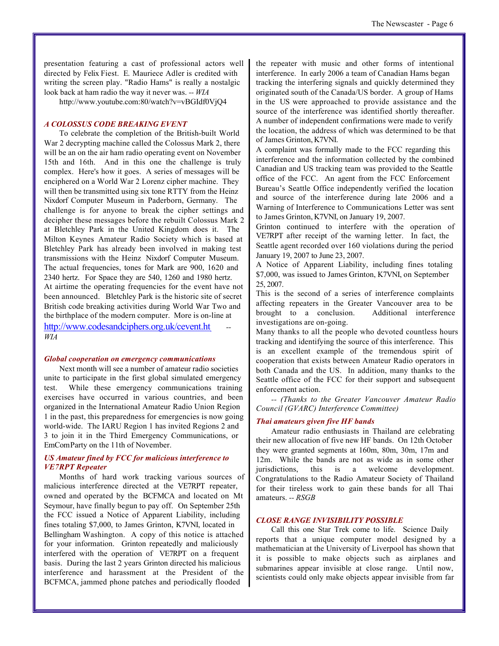http://www.youtube.com:80/watch?v=vBGIdf0VjQ4

#### *A COLOSSUS CODE BREAKING EVENT*

To celebrate the completion of the British-built World War 2 decrypting machine called the Colossus Mark 2, there will be an on the air ham radio operating event on November 15th and 16th. And in this one the challenge is truly complex. Here's how it goes. A series of messages will be enciphered on a World War 2 Lorenz cipher machine. They will then be transmitted using six tone RTTY from the Heinz Nixdorf Computer Museum in Paderborn, Germany. The challenge is for anyone to break the cipher settings and decipher these messages before the rebuilt Colossus Mark 2 at Bletchley Park in the United Kingdom does it. The Milton Keynes Amateur Radio Society which is based at Bletchley Park has already been involved in making test transmissions with the Heinz Nixdorf Computer Museum. The actual frequencies, tones for Mark are 900, 1620 and 2340 hertz. For Space they are 540, 1260 and 1980 hertz. At airtime the operating frequencies for the event have not been announced. Bletchley Park is the historic site of secret British code breaking activities during World War Two and the birthplace of the modern computer. More is on-line at http://www.codesandciphers.org.uk/cevent.ht *-- WIA*

#### *Global cooperation on emergency communications*

Next month will see a number of amateur radio societies unite to participate in the first global simulated emergency test. While these emergency communications training exercises have occurred in various countries, and been organized in the International Amateur Radio Union Region 1 in the past, this preparedness for emergencies is now going world-wide. The IARU Region 1 has invited Regions 2 and 3 to join it in the Third Emergency Communications, or EmCom Party on the 11th of November.

#### *US Amateur fined by FCC for malicious interference to VE7RPT Repeater*

Months of hard work tracking various sources of malicious interference directed at the VE7RPT repeater, owned and operated by the BCFMCA and located on Mt Seymour, have finally begun to pay off. On September 25th the FCC issued a Notice of Apparent Liability, including fines totaling \$7,000, to James Grinton, K7VNI, located in Bellingham Washington. A copy of this notice is attached for your information. Grinton repeatedly and maliciously interfered with the operation of VE7RPT on a frequent basis. During the last 2 years Grinton directed his malicious interference and harassment at the President of the BCFMCA, jammed phone patches and periodically flooded

the repeater with music and other forms of intentional interference. In early 2006 a team of Canadian Hams began tracking the interfering signals and quickly determined they originated south of the Canada/US border. A group of Hams in the US were approached to provide assistance and the source of the interference was identified shortly thereafter. A number of independent confirmations were made to verify the location, the address of which was determined to be that of James Grinton, K7VNI.

A complaint was formally made to the FCC regarding this interference and the information collected by the combined Canadian and US tracking team was provided to the Seattle office of the FCC. An agent from the FCC Enforcement Bureau's Seattle Office independently verified the location and source of the interference during late 2006 and a Warning of Interference to Communications Letter was sent to James Grinton, K7VNI, on January 19, 2007.

Grinton continued to interfere with the operation of VE7RPT after receipt of the warning letter. In fact, the Seattle agent recorded over 160 violations during the period January 19, 2007 to June 23, 2007.

A Notice of Apparent Liability, including fines totaling \$7,000, was issued to James Grinton, K7VNI, on September 25, 2007.

This is the second of a series of interference complaints affecting repeaters in the Greater Vancouver area to be brought to a conclusion. Additional interference investigations are on-going.

Many thanks to all the people who devoted countless hours tracking and identifying the source of this interference. This is an excellent example of the tremendous spirit of cooperation that exists between Amateur Radio operators in both Canada and the US. In addition, many thanks to the Seattle office of the FCC for their support and subsequent enforcement action.

*-- (Thanks to the Greater Vancouver Amateur Radio Council (GVARC) Interference Committee)* 

#### *Thai amateurs given five HF bands*

Amateur radio enthusiasts in Thailand are celebrating their new allocation of five new HF bands. On 12th October they were granted segments at 160m, 80m, 30m, 17m and 12m. While the bands are not as wide as in some other jurisdictions, this is a welcome development. Congratulations to the Radio Amateur Society of Thailand for their tireless work to gain these bands for all Thai amateurs. *-- RSGB*

#### *CLOSE RANGE INVISIBILITY POSSIBLE*

Call this one Star Trek come to life. Science Daily reports that a unique computer model designed by a mathematician at the University of Liverpool has shown that it is possible to make objects such as airplanes and submarines appear invisible at close range. Until now, scientists could only make objects appear invisible from far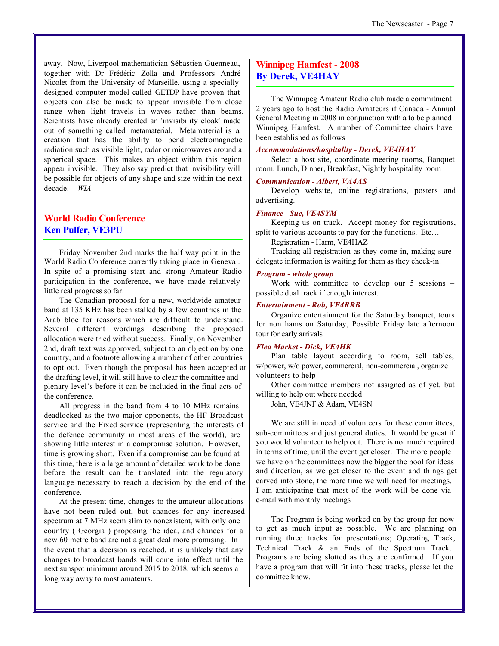away. Now, Liverpool mathematician Sébastien Guenneau, together with Dr Frédéric Zolla and Professors André Nicolet from the University of Marseille, using a specially designed computer model called GETDP have proven that objects can also be made to appear invisible from close range when light travels in waves rather than beams. Scientists have already created an 'invisibility cloak' made out of something called metamaterial. Metamaterial is a creation that has the ability to bend electromagnetic radiation such as visible light, radar or microwaves around a spherical space. This makes an object within this region appear invisible. They also say predict that invisibility will be possible for objects of any shape and size within the next decade. *-- WIA*

#### **World Radio Conference Ken Pulfer, VE3PU**

Friday November 2nd marks the half way point in the World Radio Conference currently taking place in Geneva . In spite of a promising start and strong Amateur Radio participation in the conference, we have made relatively little real progress so far.

The Canadian proposal for a new, worldwide amateur band at 135 KHz has been stalled by a few countries in the Arab bloc for reasons which are difficult to understand. Several different wordings describing the proposed allocation were tried without success. Finally, on November 2nd, draft text was approved, subject to an objection by one country, and a footnote allowing a number of other countries to opt out. Even though the proposal has been accepted at the drafting level, it will still have to clear the committee and plenary level's before it can be included in the final acts of the conference.

All progress in the band from 4 to 10 MHz remains deadlocked as the two major opponents, the HF Broadcast service and the Fixed service (representing the interests of the defence community in most areas of the world), are showing little interest in a compromise solution. However, time is growing short. Even if a compromise can be found at this time, there is a large amount of detailed work to be done before the result can be translated into the regulatory language necessary to reach a decision by the end of the conference.

At the present time, changes to the amateur allocations have not been ruled out, but chances for any increased spectrum at 7 MHz seem slim to nonexistent, with only one country ( Georgia ) proposing the idea, and chances for a new 60 metre band are not a great deal more promising. In the event that a decision is reached, it is unlikely that any changes to broadcast bands will come into effect until the next sunspot minimum around 2015 to 2018, which seems a long way away to most amateurs.

#### **Winnipeg Hamfest - 2008 By Derek, VE4HAY**

The Winnipeg Amateur Radio club made a commitment 2 years ago to host the Radio Amateurs if Canada - Annual General Meeting in 2008 in conjunction with a to be planned Winnipeg Hamfest. A number of Committee chairs have been established as follows

#### *Accommodations/hospitality - Derek, VE4HAY*

Select a host site, coordinate meeting rooms, Banquet room, Lunch, Dinner, Breakfast, Nightly hospitality room

#### *Communication - Albert, VA4AS*

Develop website, online registrations, posters and advertising.

#### *Finance - Sue, VE4SYM*

Keeping us on track. Accept money for registrations, split to various accounts to pay for the functions. Etc...

Registration - Harm, VE4HAZ

Tracking all registration as they come in, making sure delegate information is waiting for them as they check-in.

#### *Program - whole group*

Work with committee to develop our 5 sessions – possible dual track if enough interest.

#### *Entertainment - Rob, VE4RRB*

Organize entertainment for the Saturday banquet, tours for non hams on Saturday, Possible Friday late afternoon tour for early arrivals

#### *Flea Market - Dick, VE4HK*

Plan table layout according to room, sell tables, w/power, w/o power, commercial, non-commercial, organize volunteers to help

Other committee members not assigned as of yet, but willing to help out where needed.

John, VE4JNF & Adam, VE4SN

We are still in need of volunteers for these committees, sub-committees and just general duties. It would be great if you would volunteer to help out. There is not much required in terms of time, until the event get closer. The more people we have on the committees now the bigger the pool for ideas and direction, as we get closer to the event and things get carved into stone, the more time we will need for meetings. I am anticipating that most of the work will be done via e-mail with monthly meetings

The Program is being worked on by the group for now to get as much input as possible. We are planning on running three tracks for presentations; Operating Track, Technical Track & an Ends of the Spectrum Track. Programs are being slotted as they are confirmed. If you have a program that will fit into these tracks, please let the committee know.